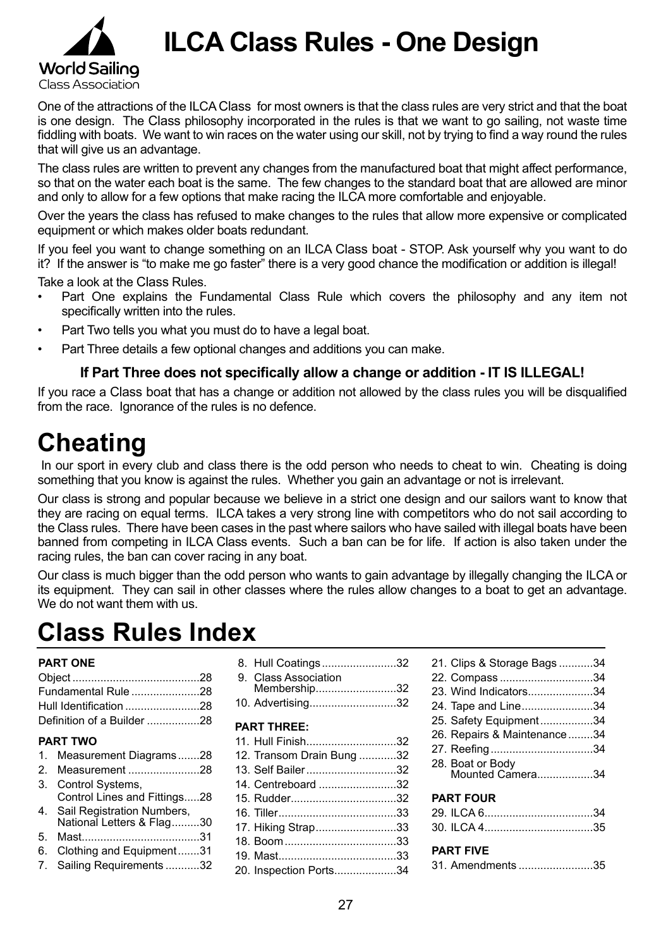

**ILCA Class Rules - One Design**

One of the attractions of the ILCA Class for most owners is that the class rules are very strict and that the boat is one design. The Class philosophy incorporated in the rules is that we want to go sailing, not waste time fiddling with boats. We want to win races on the water using our skill, not by trying to find a way round the rules that will give us an advantage.

The class rules are written to prevent any changes from the manufactured boat that might affect performance, so that on the water each boat is the same. The few changes to the standard boat that are allowed are minor and only to allow for a few options that make racing the ILCA more comfortable and enjoyable.

Over the years the class has refused to make changes to the rules that allow more expensive or complicated equipment or which makes older boats redundant.

If you feel you want to change something on an ILCA Class boat - STOP. Ask yourself why you want to do it? If the answer is "to make me go faster" there is a very good chance the modification or addition is illegal!

Take a look at the Class Rules.

- Part One explains the Fundamental Class Rule which covers the philosophy and any item not specifically written into the rules.
- Part Two tells you what you must do to have a legal boat.
- Part Three details a few optional changes and additions you can make.

#### **If Part Three does not specifically allow a change or addition - IT IS ILLEGAL!**

If you race a Class boat that has a change or addition not allowed by the class rules you will be disqualified from the race. Ignorance of the rules is no defence.

# **Cheating**

In our sport in every club and class there is the odd person who needs to cheat to win. Cheating is doing something that you know is against the rules. Whether you gain an advantage or not is irrelevant.

Our class is strong and popular because we believe in a strict one design and our sailors want to know that they are racing on equal terms. ILCA takes a very strong line with competitors who do not sail according to the Class rules. There have been cases in the past where sailors who have sailed with illegal boats have been banned from competing in ILCA Class events. Such a ban can be for life. If action is also taken under the racing rules, the ban can cover racing in any boat.

Our class is much bigger than the odd person who wants to gain advantage by illegally changing the ILCA or its equipment. They can sail in other classes where the rules allow changes to a boat to get an advantage. We do not want them with us.

# **Class Rules Index**

#### **PART ONE**

| Fundamental Rule 28        |  |
|----------------------------|--|
|                            |  |
| Definition of a Builder 28 |  |

#### **PART TWO**

1. Measurement Diagrams........28 2. Measurement........................28 3. Control Systems, Control Lines and Fittings......28 4. Sail Registration Numbers, National Letters & Flag..........30 5. Mast.......................................31 6. Clothing and Equipment........31 7. Sailing Requirements............32

| 8. Hull Coatings32   |  |
|----------------------|--|
| 9. Class Association |  |
| Membership32         |  |
| 10. Advertising32    |  |

#### **PART THREE:**

| 11. Hull Finish32         |  |
|---------------------------|--|
| 12. Transom Drain Bung 32 |  |
| 13. Self Bailer32         |  |
| 14. Centreboard 32        |  |
|                           |  |
|                           |  |
| 17. Hiking Strap33        |  |
|                           |  |
|                           |  |
| 20. Inspection Ports34    |  |

| 21. Clips & Storage Bags34           |  |
|--------------------------------------|--|
| 22. Compass 34                       |  |
| 23. Wind Indicators34                |  |
| 24. Tape and Line34                  |  |
| 25. Safety Equipment34               |  |
| 26. Repairs & Maintenance34          |  |
| 27. Reefing34                        |  |
| 28. Boat or Body<br>Mounted Camera34 |  |
| <b>PART FOUR</b>                     |  |
|                                      |  |
|                                      |  |
|                                      |  |

#### **PART FIVE**

| 31. Amendments 35 |
|-------------------|
|-------------------|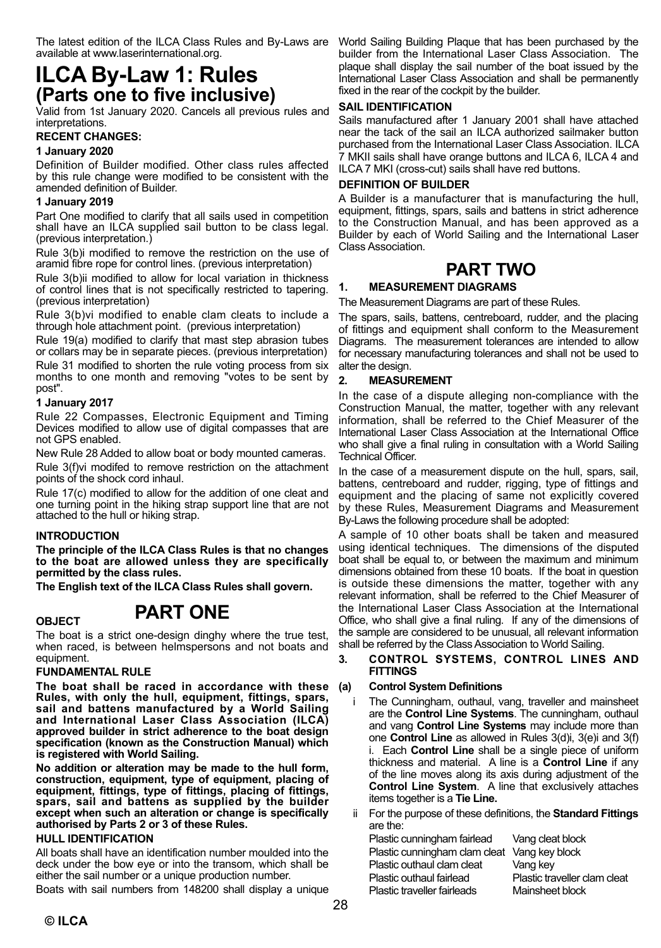available at www.laserinternational.org.

# **ILCA By-Law 1: Rules (Parts one to five inclusive)**

Valid from 1st January 2020 . Cancels all previous rules and interpretations .

#### **RECENT CHANGES:**

#### **1 January 2020**

Definition of Builder modified . Other class rules affected by this rule change were modified to be consistent with the amended definition of Builder.

#### **1 January 2019**

Part One modified to clarify that all sails used in competition shall have an ILCA supplied sail button to be class legal. (previous interpretation .)

Rule 3(b)i modified to remove the restriction on the use of aramid fibre rope for control lines . (previous interpretation)

Rule 3(b)ii modified to allow for local variation in thickness of control lines that is not specifically restricted to tapering . (previous interpretation)

Rule 3(b)vi modified to enable clam cleats to include a through hole attachment point. (previous interpretation)

Rule 19(a) modified to clarify that mast step abrasion tubes or collars may be in separate pieces . (previous interpretation)

Rule 31 modified to shorten the rule voting process from six months to one month and removing "votes to be sent by post".

#### **1 January 2017**

Rule 22 Compasses, Electronic Equipment and Timing Devices modified to allow use of digital compasses that are not GPS enabled.

New Rule 28 Added to allow boat or body mounted cameras .

Rule 3(f)vi modifed to remove restriction on the attachment points of the shock cord inhaul.

Rule 17(c) modified to allow for the addition of one cleat and one turning point in the hiking strap support line that are not attached to the hull or hiking strap.

#### **INTRODUCTION**

**The principle of the ILCA Class Rules is that no changes to the boat are allowed unless they are specifically permitted by the class rules.**

**The English text of the ILCA Class Rules shall govern.**

# **OBJECT PART ONE**

The boat is a strict one-design dinghy where the true test, when raced, is between helmspersons and not boats and equipment.

#### **FUNDAMENTAL RULE**

**The boat shall be raced in accordance with these Rules, with only the hull, equipment, fittings, spars, sail and battens manufactured by a World Sailing and International Laser Class Association (ILCA) approved builder in strict adherence to the boat design specification (known as the Construction Manual) which is registered with World Sailing.**

**No addition or alteration may be made to the hull form, construction, equipment, type of equipment, placing of equipment, fittings, type of fittings, placing of fittings, spars, sail and battens as supplied by the builder except when such an alteration or change is specifically authorised by Parts 2 or 3 of these Rules.**

#### **HULL IDENTIFICATION**

All boats shall have an identification number moulded into the deck under the bow eye or into the transom, which shall be either the sail number or a unique production number.

Boats with sail numbers from 148200 shall display a unique

The latest edition of the ILCA Class Rules and By-Laws are World Sailing Building Plaque that has been purchased by the builder from the International Laser Class Association. The plaque shall display the sail number of the boat issued by the International Laser Class Association and shall be permanently fixed in the rear of the cockpit by the builder.

#### **SAIL IDENTIFICATION**

Sails manufactured after 1 January 2001 shall have attached near the tack of the sail an ILCA authorized sailmaker button purchased from the International Laser Class Association. ILCA 7 MKII sails shall have orange buttons and ILCA 6, ILCA 4 and ILCA 7 MKI (cross-cut) sails shall have red buttons.

#### **DEFINITION OF BUILDER**

A Builder is a manufacturer that is manufacturing the hull, equipment, fittings, spars, sails and battens in strict adherence to the Construction Manual, and has been approved as a Builder by each of World Sailing and the International Laser Class Association.

## **PART TWO**

#### **1. MEASUREMENT DIAGRAMS**

The Measurement Diagrams are part of these Rules.

The spars, sails, battens, centreboard, rudder, and the placing of fittings and equipment shall conform to the Measurement Diagrams. The measurement tolerances are intended to allow for necessary manufacturing tolerances and shall not be used to alter the design.

#### **2. MEASUREMENT**

In the case of a dispute alleging non-compliance with the Construction Manual, the matter, together with any relevant information, shall be referred to the Chief Measurer of the International Laser Class Association at the International Office who shall give a final ruling in consultation with a World Sailing Technical Officer.

In the case of a measurement dispute on the hull, spars, sail, battens, centreboard and rudder, rigging, type of fittings and equipment and the placing of same not explicitly covered by these Rules, Measurement Diagrams and Measurement By-Laws the following procedure shall be adopted:

A sample of 10 other boats shall be taken and measured using identical techniques. The dimensions of the disputed boat shall be equal to, or between the maximum and minimum dimensions obtained from these 10 boats. If the boat in question is outside these dimensions the matter, together with any relevant information, shall be referred to the Chief Measurer of the International Laser Class Association at the International Office, who shall give a final ruling. If any of the dimensions of the sample are considered to be unusual, all relevant information shall be referred by the Class Association to World Sailing.

#### **3. CONTROL SYSTEMS, CONTROL LINES AND FITTINGS**

#### **(a) Control System Definitions**

- The Cunningham, outhaul, vang, traveller and mainsheet are the **Control Line Systems**. The cunningham, outhaul and vang **Control Line Systems** may include more than one **Control Line** as allowed in Rules 3(d)i, 3(e)i and 3(f) i. Each **Control Line** shall be a single piece of uniform thickness and material. A line is a **Control Line** if any of the line moves along its axis during adjustment of the **Control Line System**. A line that exclusively attaches items together is a **Tie Line.**
- ii For the purpose of these definitions, the **Standard Fittings** are the:<br>Plastic of

| Plastic cunningham fairlead                  | Vang cleat block             |
|----------------------------------------------|------------------------------|
| Plastic cunningham clam cleat Vang key block |                              |
| Plastic outhaul clam cleat                   | Vang key                     |
| Plastic outhaul fairlead                     | Plastic traveller clam cleat |
| Plastic traveller fairleads                  | Mainsheet block              |
|                                              |                              |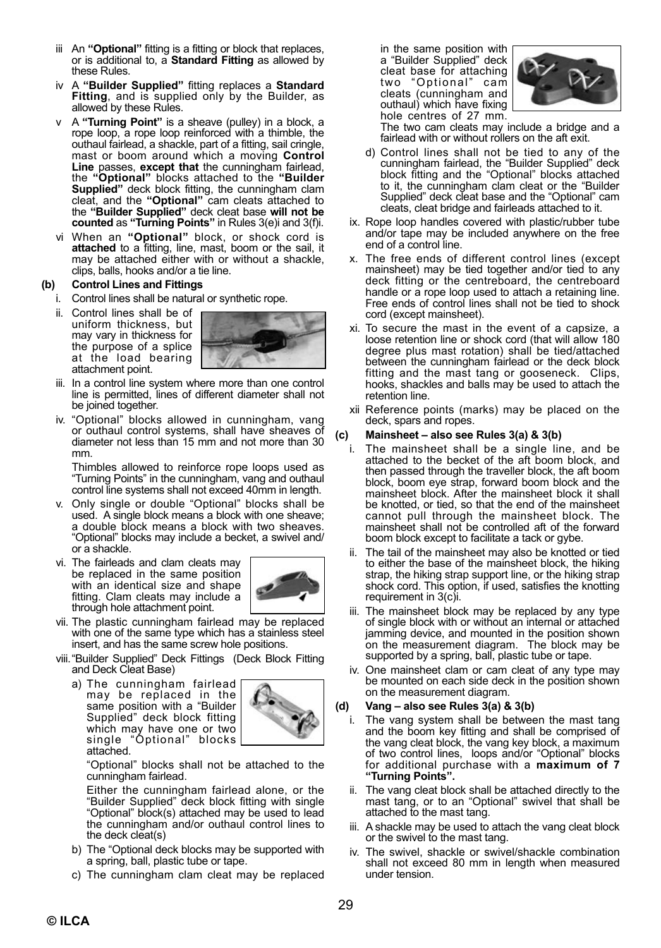- iii An "Optional" fitting is a fitting or block that replaces, or is additional to, a **Standard Fitting** as allowed by these Rules.
- iv A **"Builder Supplied"** fitting replaces a **Standard Fitting**, and is supplied only by the Builder, as allowed by these Rules.
- v A **"Turning Point"** is a sheave (pulley) in a block, a rope loop, a rope loop reinforced with a thimble, the outhaul fairlead, a shackle, part of a fitting, sail cringle, mast or boom around which a moving **Control Line** passes, **except that** the cunningham fairlead, the **"Optional"** blocks attached to the **"Builder Supplied"** deck block fitting, the cunningham clam cleat, and the **"Optional"** cam cleats attached to the **"Builder Supplied"** deck cleat base **will not be counted** as **"Turning Points"** in Rules 3(e)i and 3(f)i.
- vi When an **"Optional"** block, or shock cord is **attached** to a fitting, line, mast, boom or the sail, it may be attached either with or without a shackle, clips, balls, hooks and/or a tie line.

#### **(b) Control Lines and Fittings**

- i. Control lines shall be natural or synthetic rope.
- ii. Control lines shall be of uniform thickness, but may vary in thickness for the purpose of a splice at the load bearing attachment point.



- iii. In a control line system where more than one control line is permitted, lines of different diameter shall not be joined together.
- iv. "Optional" blocks allowed in cunningham, vang or outhaul control systems, shall have sheaves of diameter not less than 15 mm and not more than 30 mm.

Thimbles allowed to reinforce rope loops used as "Turning Points" in the cunningham, vang and outhaul control line systems shall not exceed 40mm in length.

- v. Only single or double "Optional" blocks shall be used. A single block means a block with one sheave; a double block means a block with two sheaves. "Optional" blocks may include a becket, a swivel and/ or a shackle.
- vi. The fairleads and clam cleats may be replaced in the same position with an identical size and shape fitting. Clam cleats may include a through hole attachment point.



- vii. The plastic cunningham fairlead may be replaced with one of the same type which has a stainless steel insert, and has the same screw hole positions.
- viii. "Builder Supplied" Deck Fittings (Deck Block Fitting and Deck Cleat Base)
	- a) The cunningham fairlead may be replaced in the same position with a "Builder Supplied" deck block fitting which may have one or two single "Optional" blocks attached.



"Optional" blocks shall not be attached to the cunningham fairlead.

Either the cunningham fairlead alone, or the "Builder Supplied" deck block fitting with single "Optional" block(s) attached may be used to lead the cunningham and/or outhaul control lines to the deck cleat(s)

- b) The "Optional deck blocks may be supported with a spring, ball, plastic tube or tape.
- c) The cunningham clam cleat may be replaced

in the same position with a "Builder Supplied" deck cleat base for attaching<br>two "Optional" cam "Optional" cam cleats (cunningham and outhaul) which have fixing hole centres of 27 mm.



The two cam cleats may include a bridge and a fairlead with or without rollers on the aft exit.

- d) Control lines shall not be tied to any of the cunningham fairlead, the "Builder Supplied" deck block fitting and the "Optional" blocks attached to it, the cunningham clam cleat or the "Builder Supplied" deck cleat base and the "Optional" cam cleats, cleat bridge and fairleads attached to it.
- ix. Rope loop handles covered with plastic/rubber tube and/or tape may be included anywhere on the free end of a control line.
- x. The free ends of different control lines (except mainsheet) may be tied together and/or tied to any deck fitting or the centreboard, the centreboard handle or a rope loop used to attach a retaining line. Free ends of control lines shall not be tied to shock cord (except mainsheet).
- xi. To secure the mast in the event of a capsize, a loose retention line or shock cord (that will allow 180 degree plus mast rotation) shall be tied/attached between the cunningham fairlead or the deck block fitting and the mast tang or gooseneck. Clips, hooks, shackles and balls may be used to attach the retention line.
- xii Reference points (marks) may be placed on the deck, spars and ropes.

#### **(c) Mainsheet – also see Rules 3(a) & 3(b)**

- The mainsheet shall be a single line, and be attached to the becket of the aft boom block, and then passed through the traveller block, the aft boom block, boom eye strap, forward boom block and the mainsheet block. After the mainsheet block it shall be knotted, or tied, so that the end of the mainsheet cannot pull through the mainsheet block. The mainsheet shall not be controlled aft of the forward boom block except to facilitate a tack or gybe.
- The tail of the mainsheet may also be knotted or tied to either the base of the mainsheet block, the hiking strap, the hiking strap support line, or the hiking strap shock cord. This option, if used, satisfies the knotting requirement in 3(c)i.
- iii. The mainsheet block may be replaced by any type of single block with or without an internal or attached jamming device, and mounted in the position shown on the measurement diagram. The block may be supported by a spring, ball, plastic tube or tape.
- iv. One mainsheet clam or cam cleat of any type may be mounted on each side deck in the position shown on the measurement diagram.

#### **(d) Vang – also see Rules 3(a) & 3(b)**

- i. The vang system shall be between the mast tang and the boom key fitting and shall be comprised of the vang cleat block, the vang key block, a maximum of two control lines, loops and/or "Optional" blocks for additional purchase with a **maximum of 7 "Turning Points".**
- ii. The vang cleat block shall be attached directly to the mast tang, or to an "Optional" swivel that shall be attached to the mast tang.
- iii. A shackle may be used to attach the vang cleat block or the swivel to the mast tang.
- iv. The swivel, shackle or swivel/shackle combination shall not exceed 80 mm in length when measured under tension.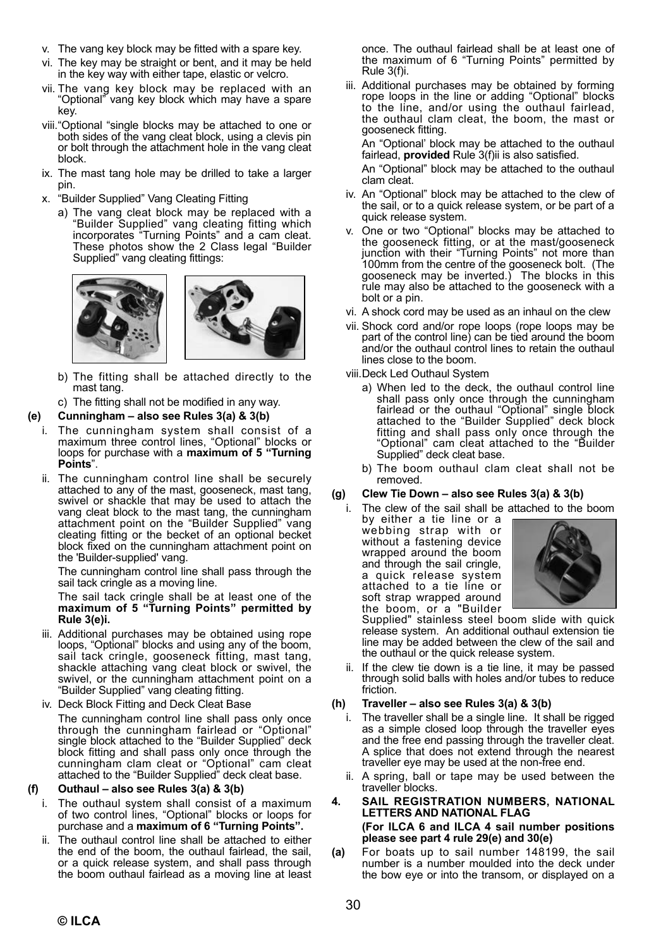- v. The vang key block may be fitted with a spare key.
- vi. The key may be straight or bent, and it may be held in the key way with either tape, elastic or velcro.
- vii. The vang key block may be replaced with an "Optional" vang key block which may have a spare key.
- viii. "Optional "single blocks may be attached to one or both sides of the vang cleat block, using a clevis pin or bolt through the attachment hole in the vang cleat block.
- ix. The mast tang hole may be drilled to take a larger pin.
- x. "Builder Supplied" Vang Cleating Fitting
	- a) The vang cleat block may be replaced with a "Builder Supplied" vang cleating fitting which incorporates "Turning Points" and a cam cleat. These photos show the 2 Class legal "Builder Supplied" vang cleating fittings:



- b) The fitting shall be attached directly to the mast tang.
- c) The fitting shall not be modified in any way.

#### **(e) Cunningham – also see Rules 3(a) & 3(b)**

- i. The cunningham system shall consist of a maximum three control lines, "Optional" blocks or loops for purchase with a **maximum of 5 "Turning Points**".
- ii. The cunningham control line shall be securely attached to any of the mast, gooseneck, mast tang, swivel or shackle that may be used to attach the vang cleat block to the mast tang, the cunningham attachment point on the "Builder Supplied" vang cleating fitting or the becket of an optional becket block fixed on the cunningham attachment point on the 'Builder-supplied' vang.

The cunningham control line shall pass through the sail tack cringle as a moving line.

The sail tack cringle shall be at least one of the **maximum of 5 "Turning Points" permitted by Rule 3(e)i.**

- iii. Additional purchases may be obtained using rope loops, "Optional" blocks and using any of the boom, sail tack cringle, gooseneck fitting, mast tang, shackle attaching vang cleat block or swivel, the swivel, or the cunningham attachment point on a "Builder Supplied" vang cleating fitting.
- iv. Deck Block Fitting and Deck Cleat Base The cunningham control line shall pass only once through the cunningham fairlead or "Optional" single block attached to the "Builder Supplied" deck block fitting and shall pass only once through the cunningham clam cleat or "Optional" cam cleat attached to the "Builder Supplied" deck cleat base.

#### **(f) Outhaul – also see Rules 3(a) & 3(b)**

- The outhaul system shall consist of a maximum of two control lines, "Optional" blocks or loops for purchase and a **maximum of 6 "Turning Points".**
- The outhaul control line shall be attached to either the end of the boom, the outhaul fairlead, the sail, or a quick release system, and shall pass through the boom outhaul fairlead as a moving line at least

once. The outhaul fairlead shall be at least one of the maximum of 6 "Turning Points" permitted by Rule 3(f)i.

iii. Additional purchases may be obtained by forming rope loops in the line or adding "Optional" blocks to the line, and/or using the outhaul fairlead, the outhaul clam cleat, the boom, the mast or gooseneck fitting.

An "Optional' block may be attached to the outhaul fairlead, **provided** Rule 3(f)ii is also satisfied.

An "Optional" block may be attached to the outhaul clam cleat.

- iv. An "Optional" block may be attached to the clew of the sail, or to a quick release system, or be part of a quick release system.
- v. One or two "Optional" blocks may be attached to the gooseneck fitting, or at the mast/gooseneck junction with their "Turning Points" not more than 100mm from the centre of the gooseneck bolt. (The gooseneck may be inverted.) The blocks in this rule may also be attached to the gooseneck with a bolt or a pin.
- vi. A shock cord may be used as an inhaul on the clew
- vii. Shock cord and/or rope loops (rope loops may be part of the control line) can be tied around the boom and/or the outhaul control lines to retain the outhaul lines close to the boom.

viii. Deck Led Outhaul System

- a) When led to the deck, the outhaul control line shall pass only once through the cunningham fairlead or the outhaul "Optional" single block attached to the "Builder Supplied" deck block fitting and shall pass only once through the "Optional" cam cleat attached to the "Builder Supplied" deck cleat base.
- b) The boom outhaul clam cleat shall not be removed.

#### **(g) Clew Tie Down – also see Rules 3(a) & 3(b)**

i. The clew of the sail shall be attached to the boom by either a tie line or a

webbing strap with or without a fastening device wrapped around the boom and through the sail cringle, a quick release system attached to a tie line or soft strap wrapped around the boom, or a "Builder



Supplied" stainless steel boom slide with quick release system. An additional outhaul extension tie line may be added between the clew of the sail and the outhaul or the quick release system.

ii. If the clew tie down is a tie line, it may be passed through solid balls with holes and/or tubes to reduce friction.

#### **(h) Traveller – also see Rules 3(a) & 3(b)**

- i. The traveller shall be a single line. It shall be rigged as a simple closed loop through the traveller eyes and the free end passing through the traveller cleat. A splice that does not extend through the nearest traveller eye may be used at the non-free end.
- ii. A spring, ball or tape may be used between the traveller blocks.
- **4. SAIL REGISTRATION NUMBERS, NATIONAL LETTERS AND NATIONAL FLAG (For ILCA 6 and ILCA 4 sail number positions please see part 4 rule 29(e) and 30(e)**
- **(a)** For boats up to sail number 148199, the sail number is a number moulded into the deck under the bow eye or into the transom, or displayed on a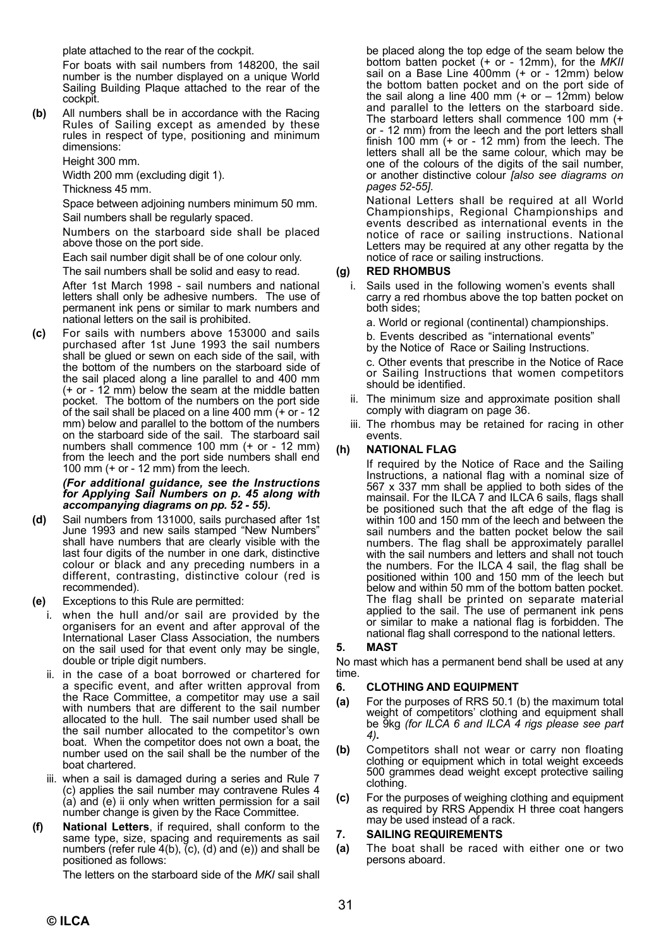plate attached to the rear of the cockpit.

For boats with sail numbers from 148200, the sail number is the number displayed on a unique World Sailing Building Plaque attached to the rear of the cockpit.

**(b)** All numbers shall be in accordance with the Racing Rules of Sailing except as amended by these rules in respect of type, positioning and minimum dimensions:

Height 300 mm.

Width 200 mm (excluding digit 1).

Thickness 45 mm.

Space between adjoining numbers minimum 50 mm. Sail numbers shall be regularly spaced.

Numbers on the starboard side shall be placed above those on the port side.

Each sail number digit shall be of one colour only.

The sail numbers shall be solid and easy to read.

After 1st March 1998 - sail numbers and national letters shall only be adhesive numbers. The use of permanent ink pens or similar to mark numbers and national letters on the sail is prohibited.

**(c)** For sails with numbers above 153000 and sails purchased after 1st June 1993 the sail numbers shall be glued or sewn on each side of the sail, with the bottom of the numbers on the starboard side of the sail placed along a line parallel to and 400 mm (+ or - 12 mm) below the seam at the middle batten pocket. The bottom of the numbers on the port side of the sail shall be placed on a line 400 mm (+ or - 12 mm) below and parallel to the bottom of the numbers on the starboard side of the sail. The starboard sail numbers shall commence 100 mm (+ or - 12 mm) from the leech and the port side numbers shall end 100 mm  $(+ or - 12$  mm) from the leech.

### *(For additional guidance, see the Instructions for Applying Sail Numbers on p. 45 along with accompanying diagrams on pp. 52 - 55).*

- **(d)** Sail numbers from 131000, sails purchased after 1st June 1993 and new sails stamped "New Numbers" shall have numbers that are clearly visible with the last four digits of the number in one dark, distinctive colour or black and any preceding numbers in a different, contrasting, distinctive colour (red is recommended).
- **(e)** Exceptions to this Rule are permitted:
	- i. when the hull and/or sail are provided by the organisers for an event and after approval of the International Laser Class Association, the numbers on the sail used for that event only may be single, double or triple digit numbers.
		- ii. in the case of a boat borrowed or chartered for a specific event, and after written approval from the Race Committee, a competitor may use a sail with numbers that are different to the sail number allocated to the hull. The sail number used shall be the sail number allocated to the competitor's own boat. When the competitor does not own a boat, the number used on the sail shall be the number of the boat chartered.
		- iii. when a sail is damaged during a series and Rule 7 (c) applies the sail number may contravene Rules 4 (a) and (e) ii only when written permission for a sail number change is given by the Race Committee.
- **(f) National Letters**, if required, shall conform to the same type, size, spacing and requirements as sail numbers (refer rule  $4(b)$ ,  $(c)$ ,  $(d)$  and  $(e)$ ) and shall be positioned as follows:

The letters on the starboard side of the *MKI* sail shall

be placed along the top edge of the seam below the bottom batten pocket (+ or - 12mm), for the *MKII* sail on a Base Line 400mm (+ or - 12mm) below the bottom batten pocket and on the port side of the sail along a line 400 mm  $(+ or - 12$ mm) below and parallel to the letters on the starboard side. The starboard letters shall commence 100 mm (+ or - 12 mm) from the leech and the port letters shall finish 100 mm (+ or - 12 mm) from the leech. The letters shall all be the same colour, which may be one of the colours of the digits of the sail number, or another distinctive colour *[also see diagrams on pages 52-55]*.

 National Letters shall be required at all World Championships, Regional Championships and events described as international events in the notice of race or sailing instructions. National Letters may be required at any other regatta by the notice of race or sailing instructions.

#### **(g) RED RHOMBUS**

i. Sails used in the following women's events shall carry a red rhombus above the top batten pocket on both sides;

a. World or regional (continental) championships.

b. Events described as "international events"

by the Notice of Race or Sailing Instructions.

c. Other events that prescribe in the Notice of Race or Sailing Instructions that women competitors should be identified.

- ii. The minimum size and approximate position shall comply with diagram on page 36.
- iii. The rhombus may be retained for racing in other events.

#### **(h) NATIONAL FLAG**

If required by the Notice of Race and the Sailing Instructions, a national flag with a nominal size of 567 x 337 mm shall be applied to both sides of the mainsail. For the ILCA 7 and ILCA 6 sails, flags shall be positioned such that the aft edge of the flag is within 100 and 150 mm of the leech and between the sail numbers and the batten pocket below the sail numbers. The flag shall be approximately parallel with the sail numbers and letters and shall not touch the numbers. For the ILCA 4 sail, the flag shall be positioned within 100 and 150 mm of the leech but below and within 50 mm of the bottom batten pocket. The flag shall be printed on separate material applied to the sail. The use of permanent ink pens or similar to make a national flag is forbidden. The national flag shall correspond to the national letters.

#### **5. MAST**

No mast which has a permanent bend shall be used at any time.

#### **6. CLOTHING AND EQUIPMENT**

- **(a)** For the purposes of RRS 50.1 (b) the maximum total weight of competitors' clothing and equipment shall be 9kg *(for ILCA 6 and ILCA 4 rigs please see part 4)***.**
- **(b)** Competitors shall not wear or carry non floating clothing or equipment which in total weight exceeds 500 grammes dead weight except protective sailing clothing.
- **(c)** For the purposes of weighing clothing and equipment as required by RRS Appendix H three coat hangers may be used instead of a rack.

#### **7. SAILING REQUIREMENTS**

**(a)** The boat shall be raced with either one or two persons aboard.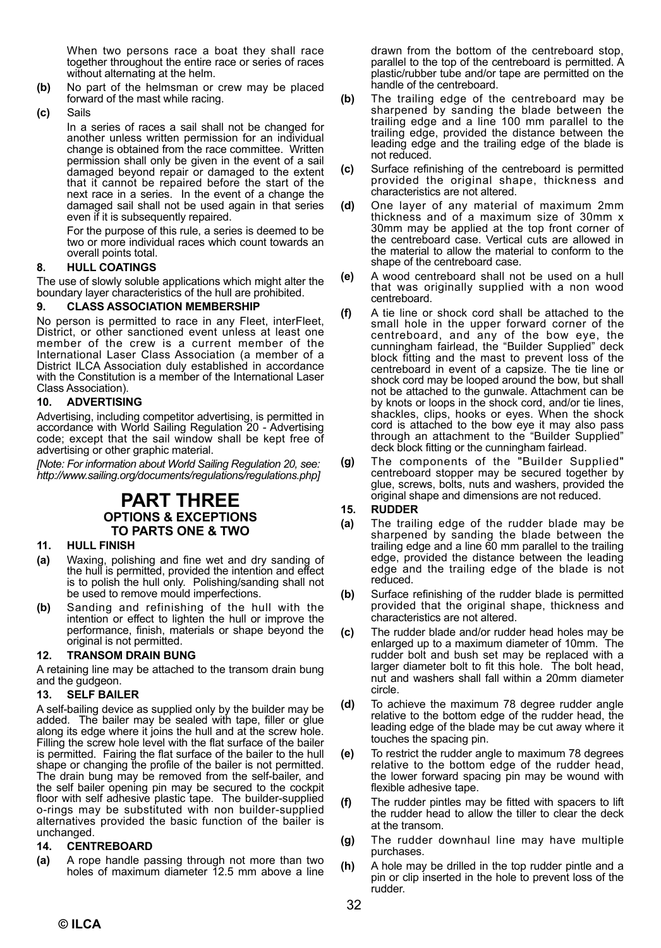When two persons race a boat they shall race together throughout the entire race or series of races without alternating at the helm.

- **(b)** No part of the helmsman or crew may be placed forward of the mast while racing.
- **(c)** Sails

In a series of races a sail shall not be changed for another unless written permission for an individual change is obtained from the race committee. Written permission shall only be given in the event of a sail damaged beyond repair or damaged to the extent that it cannot be repaired before the start of the next race in a series. In the event of a change the damaged sail shall not be used again in that series even if it is subsequently repaired.

For the purpose of this rule, a series is deemed to be two or more individual races which count towards an overall points total.

#### **8. HULL COATINGS**

The use of slowly soluble applications which might alter the boundary layer characteristics of the hull are prohibited.

#### **9. CLASS ASSOCIATION MEMBERSHIP**

No person is permitted to race in any Fleet, interFleet, District, or other sanctioned event unless at least one member of the crew is a current member of the International Laser Class Association (a member of a District ILCA Association duly established in accordance with the Constitution is a member of the International Laser Class Association).

#### **10. ADVERTISING**

Advertising, including competitor advertising, is permitted in accordance with World Sailing Regulation 20 - Advertising code; except that the sail window shall be kept free of advertising or other graphic material.

*[Note: For information about World Sailing Regulation 20, see: http://www.sailing.org/documents/regulations/regulations.php]*

#### **PART THREE OPTIONS & EXCEPTIONS TO PARTS ONE & TWO**

#### **11. HULL FINISH**

- **(a)** Waxing, polishing and fine wet and dry sanding of the hull is permitted, provided the intention and effect is to polish the hull only. Polishing/sanding shall not be used to remove mould imperfections.
- **(b)** Sanding and refinishing of the hull with the intention or effect to lighten the hull or improve the performance, finish, materials or shape beyond the original is not permitted.

#### **12. TRANSOM DRAIN BUNG**

A retaining line may be attached to the transom drain bung and the gudgeon.

#### **13. SELF BAILER**

A self-bailing device as supplied only by the builder may be added. The bailer may be sealed with tape, filler or glue along its edge where it joins the hull and at the screw hole. Filling the screw hole level with the flat surface of the bailer is permitted. Fairing the flat surface of the bailer to the hull shape or changing the profile of the bailer is not permitted. The drain bung may be removed from the self-bailer, and the self bailer opening pin may be secured to the cockpit floor with self adhesive plastic tape. The builder-supplied o-rings may be substituted with non builder-supplied alternatives provided the basic function of the bailer is unchanged.

#### **14. CENTREBOARD**

**(a)** A rope handle passing through not more than two holes of maximum diameter 12.5 mm above a line

drawn from the bottom of the centreboard stop, parallel to the top of the centreboard is permitted. A plastic/rubber tube and/or tape are permitted on the handle of the centreboard.

- **(b)** The trailing edge of the centreboard may be sharpened by sanding the blade between the trailing edge and a line 100 mm parallel to the trailing edge, provided the distance between the leading edge and the trailing edge of the blade is not reduced.
- **(c)** Surface refinishing of the centreboard is permitted provided the original shape, thickness and characteristics are not altered.
- **(d)** One layer of any material of maximum 2mm thickness and of a maximum size of 30mm x 30mm may be applied at the top front corner of the centreboard case. Vertical cuts are allowed in the material to allow the material to conform to the shape of the centreboard case.
- **(e)** A wood centreboard shall not be used on a hull that was originally supplied with a non wood centreboard.
- **(f)** A tie line or shock cord shall be attached to the small hole in the upper forward corner of the centreboard, and any of the bow eye, the cunningham fairlead, the "Builder Supplied" deck block fitting and the mast to prevent loss of the centreboard in event of a capsize. The tie line or shock cord may be looped around the bow, but shall not be attached to the gunwale. Attachment can be by knots or loops in the shock cord, and/or tie lines, shackles, clips, hooks or eyes. When the shock cord is attached to the bow eye it may also pass through an attachment to the "Builder Supplied" deck block fitting or the cunningham fairlead.
- **(g)** The components of the "Builder Supplied" centreboard stopper may be secured together by glue, screws, bolts, nuts and washers, provided the original shape and dimensions are not reduced.

#### **15. RUDDER**

- **(a)** The trailing edge of the rudder blade may be sharpened by sanding the blade between the trailing edge and a line 60 mm parallel to the trailing edge, provided the distance between the leading edge and the trailing edge of the blade is not reduced.
- **(b)** Surface refinishing of the rudder blade is permitted provided that the original shape, thickness and characteristics are not altered.
- **(c)** The rudder blade and/or rudder head holes may be enlarged up to a maximum diameter of 10mm. The rudder bolt and bush set may be replaced with a larger diameter bolt to fit this hole. The bolt head, nut and washers shall fall within a 20mm diameter circle.
- **(d)** To achieve the maximum 78 degree rudder angle relative to the bottom edge of the rudder head, the leading edge of the blade may be cut away where it touches the spacing pin.
- **(e)** To restrict the rudder angle to maximum 78 degrees relative to the bottom edge of the rudder head, the lower forward spacing pin may be wound with flexible adhesive tape.
- **(f)** The rudder pintles may be fitted with spacers to lift the rudder head to allow the tiller to clear the deck at the transom.
- **(g)** The rudder downhaul line may have multiple purchases.
- **(h)** A hole may be drilled in the top rudder pintle and a pin or clip inserted in the hole to prevent loss of the rudder.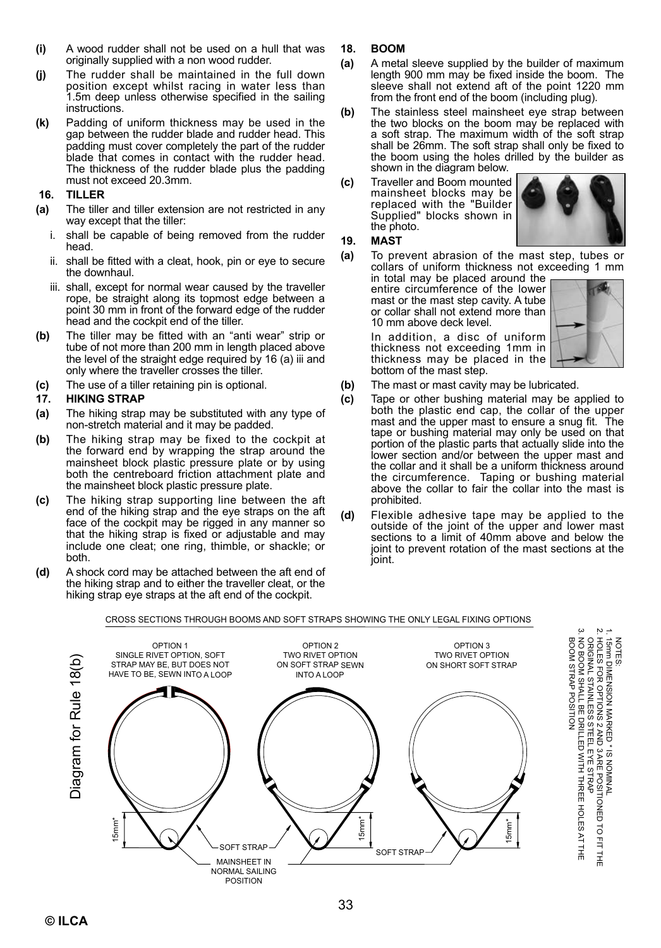- **(i)** A wood rudder shall not be used on a hull that was originally supplied with a non wood rudder.
- **(j)** The rudder shall be maintained in the full down position except whilst racing in water less than 1.5m deep unless otherwise specified in the sailing instructions.
- **(k)** Padding of uniform thickness may be used in the gap between the rudder blade and rudder head. This padding must cover completely the part of the rudder blade that comes in contact with the rudder head. The thickness of the rudder blade plus the padding must not exceed 20.3mm.

#### **16. TILLER**

- **(a)** The tiller and tiller extension are not restricted in any way except that the tiller:
	- i. shall be capable of being removed from the rudder head.
	- ii. shall be fitted with a cleat, hook, pin or eye to secure the downhaul.
	- iii. shall, except for normal wear caused by the traveller rope, be straight along its topmost edge between a point 30 mm in front of the forward edge of the rudder head and the cockpit end of the tiller.
- **(b)** The tiller may be fitted with an "anti wear" strip or tube of not more than 200 mm in length placed above the level of the straight edge required by 16 (a) iii and only where the traveller crosses the tiller.
- **(c)** The use of a tiller retaining pin is optional.

#### **17. HIKING STRAP**

- **(a)** The hiking strap may be substituted with any type of non-stretch material and it may be padded.
- **(b)** The hiking strap may be fixed to the cockpit at the forward end by wrapping the strap around the mainsheet block plastic pressure plate or by using both the centreboard friction attachment plate and the mainsheet block plastic pressure plate.
- **(c)** The hiking strap supporting line between the aft end of the hiking strap and the eye straps on the aft face of the cockpit may be rigged in any manner so that the hiking strap is fixed or adjustable and may include one cleat; one ring, thimble, or shackle; or both.
- **(d)** A shock cord may be attached between the aft end of the hiking strap and to either the traveller cleat, or the hiking strap eye straps at the aft end of the cockpit.
- **18. BOOM**
- **(a)** A metal sleeve supplied by the builder of maximum length 900 mm may be fixed inside the boom. The sleeve shall not extend aft of the point 1220 mm from the front end of the boom (including plug).
- **(b)** The stainless steel mainsheet eye strap between the two blocks on the boom may be replaced with a soft strap. The maximum width of the soft strap shall be 26mm. The soft strap shall only be fixed to the boom using the holes drilled by the builder as shown in the diagram below.
- **(c)** Traveller and Boom mounted mainsheet blocks may be replaced with the "Builder Supplied" blocks shown in the photo.



#### **19. MAST**

**(a)** To prevent abrasion of the mast step, tubes or collars of uniform thickness not exceeding 1 mm

in total may be placed around the entire circumference of the lower mast or the mast step cavity. A tube or collar shall not extend more than 10 mm above deck level.

In addition, a disc of uniform thickness not exceeding 1mm in thickness may be placed in the bottom of the mast step.



2. HOLES FOR OPTIONS 2 AND 3 ARE POSITIONED 1. 15mm DIMENSION MARKED \* IS NOMINAL

ORIGINAL STAINLESS STEEL EYE STRAP 3. NO BOOM SHALL BE DRILLED WITH THREE HOLES AT THE

BOOM STRAP POSITION

TO FIT THE

NOTES:

- **(b)** The mast or mast cavity may be lubricated.
- **(c)** Tape or other bushing material may be applied to both the plastic end cap, the collar of the upper mast and the upper mast to ensure a snug fit. The tape or bushing material may only be used on that portion of the plastic parts that actually slide into the lower section and/or between the upper mast and the collar and it shall be a uniform thickness around the circumference. Taping or bushing material above the collar to fair the collar into the mast is prohibited.
- **(d)** Flexible adhesive tape may be applied to the outside of the joint of the upper and lower mast sections to a limit of 40mm above and below the joint to prevent rotation of the mast sections at the joint.

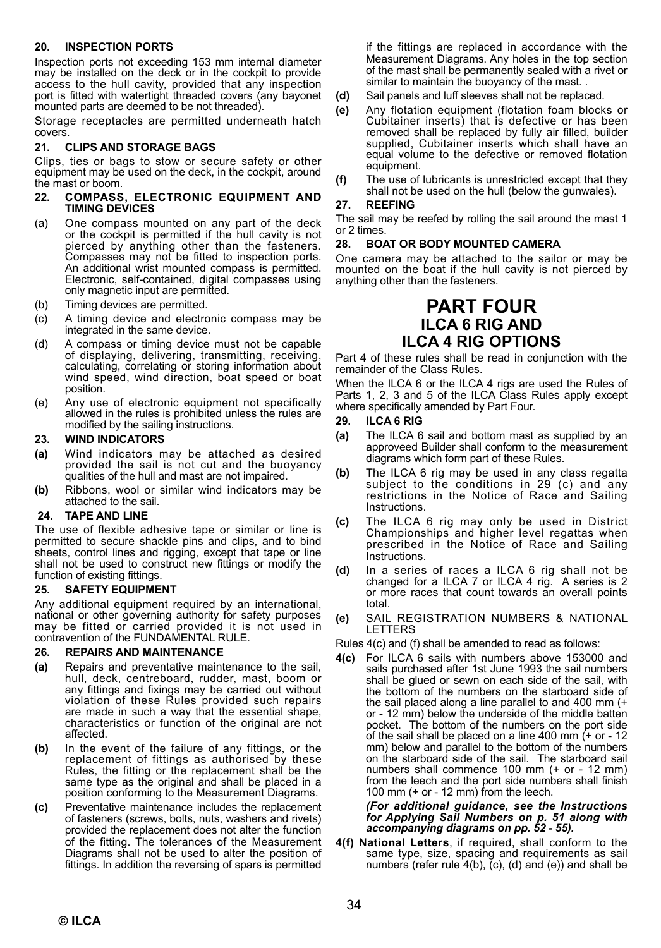#### **20. INSPECTION PORTS**

Inspection ports not exceeding 153 mm internal diameter may be installed on the deck or in the cockpit to provide access to the hull cavity, provided that any inspection port is fitted with watertight threaded covers (any bayonet mounted parts are deemed to be not threaded).

Storage receptacles are permitted underneath hatch covers.

#### **21. CLIPS AND STORAGE BAGS**

Clips, ties or bags to stow or secure safety or other equipment may be used on the deck, in the cockpit, around the mast or boom.

#### **22. COMPASS, ELECTRONIC EQUIPMENT AND TIMING DEVICES**

- (a) One compass mounted on any part of the deck or the cockpit is permitted if the hull cavity is not pierced by anything other than the fasteners. Compasses may not be fitted to inspection ports. An additional wrist mounted compass is permitted. Electronic, self-contained, digital compasses using only magnetic input are permitted.
- (b) Timing devices are permitted.
- (c) A timing device and electronic compass may be integrated in the same device.
- (d) A compass or timing device must not be capable of displaying, delivering, transmitting, receiving, calculating, correlating or storing information about wind speed, wind direction, boat speed or boat position.
- (e) Any use of electronic equipment not specifically allowed in the rules is prohibited unless the rules are modified by the sailing instructions.

#### **23. WIND INDICATORS**

- **(a)** Wind indicators may be attached as desired provided the sail is not cut and the buoyancy qualities of the hull and mast are not impaired.
- **(b)** Ribbons, wool or similar wind indicators may be attached to the sail.

#### **24. TAPE AND LINE**

The use of flexible adhesive tape or similar or line is permitted to secure shackle pins and clips, and to bind sheets, control lines and rigging, except that tape or line shall not be used to construct new fittings or modify the function of existing fittings.

#### **25. SAFETY EQUIPMENT**

Any additional equipment required by an international, national or other governing authority for safety purposes may be fitted or carried provided it is not used in contravention of the FUNDAMENTAL RULE.

#### **26. REPAIRS AND MAINTENANCE**

- **(a)** Repairs and preventative maintenance to the sail, hull, deck, centreboard, rudder, mast, boom or any fittings and fixings may be carried out without violation of these Rules provided such repairs are made in such a way that the essential shape, characteristics or function of the original are not affected.
- **(b)** In the event of the failure of any fittings, or the replacement of fittings as authorised by these Rules, the fitting or the replacement shall be the same type as the original and shall be placed in a position conforming to the Measurement Diagrams.
- **(c)** Preventative maintenance includes the replacement of fasteners (screws, bolts, nuts, washers and rivets) provided the replacement does not alter the function of the fitting. The tolerances of the Measurement Diagrams shall not be used to alter the position of fittings. In addition the reversing of spars is permitted

if the fittings are replaced in accordance with the Measurement Diagrams. Any holes in the top section of the mast shall be permanently sealed with a rivet or similar to maintain the buoyancy of the mast...

- **(d)** Sail panels and luff sleeves shall not be replaced.
- **(e)** Any flotation equipment (flotation foam blocks or Cubitainer inserts) that is defective or has been removed shall be replaced by fully air filled, builder supplied, Cubitainer inserts which shall have an equal volume to the defective or removed flotation equipment.
- **(f)** The use of lubricants is unrestricted except that they shall not be used on the hull (below the gunwales).

#### **27. REEFING**

The sail may be reefed by rolling the sail around the mast 1 or 2 times.

#### **28. BOAT OR BODY MOUNTED CAMERA**

One camera may be attached to the sailor or may be mounted on the boat if the hull cavity is not pierced by anything other than the fasteners.

## **PART FOUR ILCA 6 RIG AND ILCA 4 RIG OPTIONS**

Part 4 of these rules shall be read in conjunction with the remainder of the Class Rules.

When the ILCA 6 or the ILCA 4 rigs are used the Rules of Parts 1, 2, 3 and 5 of the ILCA Class Rules apply except where specifically amended by Part Four.

#### **29. ILCA 6 RIG**

- **(a)** The ILCA 6 sail and bottom mast as supplied by an approveed Builder shall conform to the measurement diagrams which form part of these Rules.
- **(b)** The ILCA 6 rig may be used in any class regatta subject to the conditions in 29 (c) and any restrictions in the Notice of Race and Sailing **Instructions**
- **(c)** The ILCA 6 rig may only be used in District Championships and higher level regattas when prescribed in the Notice of Race and Sailing **Instructions**
- **(d)** In a series of races a ILCA 6 rig shall not be changed for a ILCA 7 or ILCA 4 rig. A series is 2 or more races that count towards an overall points total.
- **(e)** SAIL REGISTRATION NUMBERS & NATIONAL LETTERS

Rules 4(c) and (f) shall be amended to read as follows:

**4(c)** For ILCA 6 sails with numbers above 153000 and sails purchased after 1st June 1993 the sail numbers shall be glued or sewn on each side of the sail, with the bottom of the numbers on the starboard side of the sail placed along a line parallel to and 400 mm (+ or - 12 mm) below the underside of the middle batten pocket. The bottom of the numbers on the port side of the sail shall be placed on a line 400 mm (+ or - 12 mm) below and parallel to the bottom of the numbers on the starboard side of the sail. The starboard sail numbers shall commence 100 mm (+ or - 12 mm) from the leech and the port side numbers shall finish 100 mm (+ or - 12 mm) from the leech.

## *(For additional guidance, see the Instructions for Applying Sail Numbers on p. 51 along with accompanying diagrams on pp. 52 - 55).*

**4(f) National Letters**, if required, shall conform to the same type, size, spacing and requirements as sail numbers (refer rule  $4(b)$ ,  $(c)$ ,  $(d)$  and  $(e)$ ) and shall be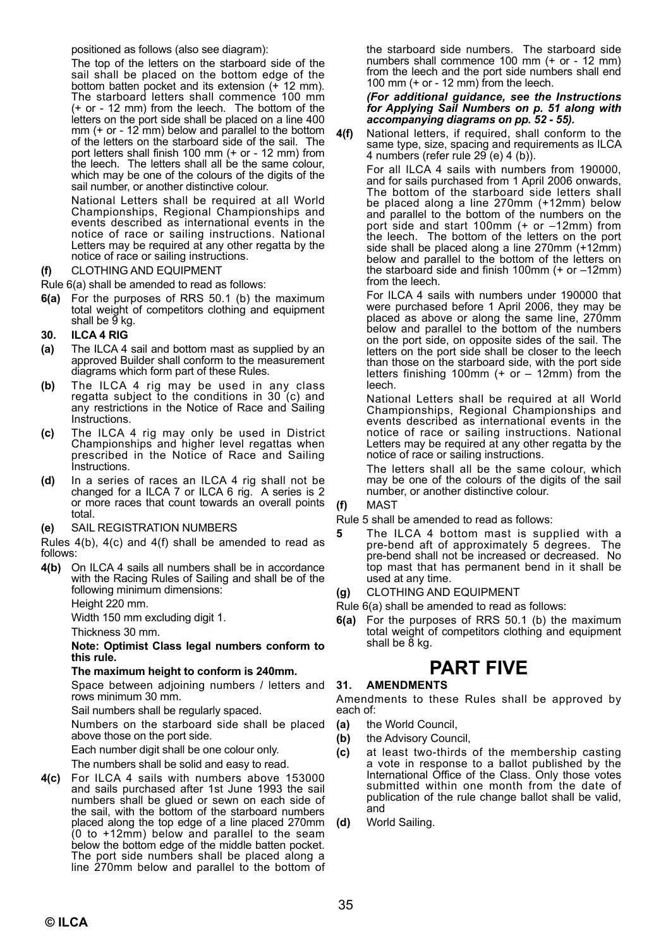positioned as follows (also see diagram):

The top of the letters on the starboard side of the sail shall be placed on the bottom edge of the bottom batten pocket and its extension (+ 12 mm). The starboard letters shall commence 100 mm (+ or - 12 mm) from the leech. The bottom of the letters on the port side shall be placed on a line 400 mm (+ or - 12 mm) below and parallel to the bottom of the letters on the starboard side of the sail. The port letters shall finish 100 mm (+ or - 12 mm) from the leech. The letters shall all be the same colour, which may be one of the colours of the digits of the sail number, or another distinctive colour.

 National Letters shall be required at all World Championships, Regional Championships and events described as international events in the notice of race or sailing instructions. National Letters may be required at any other regatta by the notice of race or sailing instructions.

#### **(f)** CLOTHING AND EQUIPMENT

Rule 6(a) shall be amended to read as follows:

**6(a)** For the purposes of RRS 50.1 (b) the maximum total weight of competitors clothing and equipment shall be  $\breve{9}$  kg.

#### **30. ILCA 4 RIG**

- **(a)** The ILCA 4 sail and bottom mast as supplied by an approved Builder shall conform to the measurement diagrams which form part of these Rules.
- **(b)** The ILCA 4 rig may be used in any class regatta subject to the conditions in 30 (c) and any restrictions in the Notice of Race and Sailing Instructions.
- **(c)** The ILCA 4 rig may only be used in District Championships and higher level regattas when prescribed in the Notice of Race and Sailing **Instructions**
- **(d)** In a series of races an ILCA 4 rig shall not be changed for a ILCA 7 or ILCA 6 rig. A series is 2 or more races that count towards an overall points total.
- **(e)** SAIL REGISTRATION NUMBERS

Rules 4(b), 4(c) and 4(f) shall be amended to read as follows:

**4(b)** On ILCA 4 sails all numbers shall be in accordance with the Racing Rules of Sailing and shall be of the following minimum dimensions:

Height 220 mm.

Width 150 mm excluding digit 1.

Thickness 30 mm.

#### **Note: Optimist Class legal numbers conform to this rule.**

#### **The maximum height to conform is 240mm.**

Space between adjoining numbers / letters and rows minimum 30 mm.

Sail numbers shall be regularly spaced.

Numbers on the starboard side shall be placed above those on the port side.

Each number digit shall be one colour only.

The numbers shall be solid and easy to read.

**4(c)** For ILCA 4 sails with numbers above 153000 and sails purchased after 1st June 1993 the sail numbers shall be glued or sewn on each side of the sail, with the bottom of the starboard numbers placed along the top edge of a line placed 270mm (0 to +12mm) below and parallel to the seam below the bottom edge of the middle batten pocket. The port side numbers shall be placed along a line 270mm below and parallel to the bottom of

the starboard side numbers. The starboard side numbers shall commence 100 mm (+ or - 12 mm) from the leech and the port side numbers shall end 100 mm (+ or - 12 mm) from the leech.

#### *(For additional guidance, see the Instructions for Applying Sail Numbers on p. 51 along with accompanying diagrams on pp. 52 - 55).*

**4(f)** National letters, if required, shall conform to the same type, size, spacing and requirements as ILCA 4 numbers (refer rule 29 (e) 4 (b)).

For all ILCA 4 sails with numbers from 190000, and for sails purchased from 1 April 2006 onwards, The bottom of the starboard side letters shall be placed along a line 270mm (+12mm) below and parallel to the bottom of the numbers on the port side and start 100mm  $(+ or -12mm)$  from the leech. The bottom of the letters on the port side shall be placed along a line 270mm (+12mm) below and parallel to the bottom of the letters on the starboard side and finish 100mm (+ or –12mm) from the leech.

For ILCA 4 sails with numbers under 190000 that were purchased before 1 April 2006, they may be placed as above or along the same line, 270mm below and parallel to the bottom of the numbers on the port side, on opposite sides of the sail. The letters on the port side shall be closer to the leech than those on the starboard side, with the port side letters finishing 100mm (+ or – 12mm) from the leech.

National Letters shall be required at all World Championships, Regional Championships and events described as international events in the notice of race or sailing instructions. National Letters may be required at any other regatta by the notice of race or sailing instructions.

The letters shall all be the same colour, which may be one of the colours of the digits of the sail number, or another distinctive colour.

**(f)** MAST

Rule 5 shall be amended to read as follows:

**5** The ILCA 4 bottom mast is supplied with a pre-bend aft of approximately 5 degrees. The pre-bend shall not be increased or decreased. No top mast that has permanent bend in it shall be used at any time.

**(g)** CLOTHING AND EQUIPMENT

Rule 6(a) shall be amended to read as follows:

**6(a)** For the purposes of RRS 50.1 (b) the maximum total weight of competitors clothing and equipment shall be 8 kg.

# **PART FIVE**

#### **31. AMENDMENTS**

Amendments to these Rules shall be approved by each of:

- **(a)** the World Council,
- **(b)** the Advisory Council,
- **(c)** at least two-thirds of the membership casting a vote in response to a ballot published by the International Office of the Class. Only those votes submitted within one month from the date of publication of the rule change ballot shall be valid, and
- **(d)** World Sailing.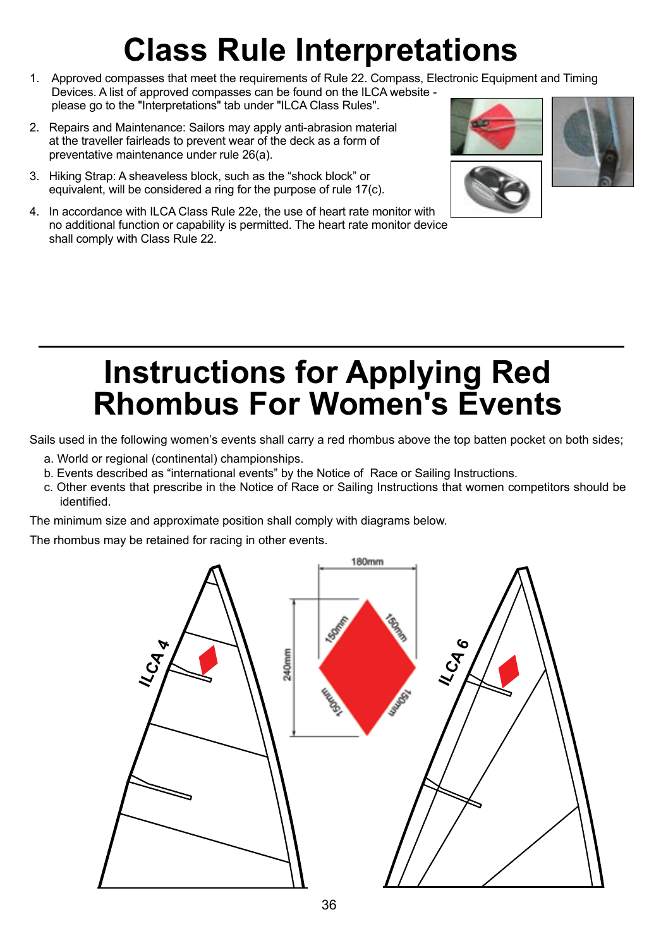# **Class Rule Interpretations**

- 1. Approved compasses that meet the requirements of Rule 22. Compass, Electronic Equipment and Timing Devices. A list of approved compasses can be found on the ILCA website please go to the "Interpretations" tab under "ILCA Class Rules".
- 2. Repairs and Maintenance: Sailors may apply anti-abrasion material at the traveller fairleads to prevent wear of the deck as a form of preventative maintenance under rule 26(a).
- 3. Hiking Strap: A sheaveless block, such as the "shock block" or equivalent, will be considered a ring for the purpose of rule 17(c).
- 4. In accordance with ILCA Class Rule 22e, the use of heart rate monitor with no additional function or capability is permitted. The heart rate monitor device shall comply with Class Rule 22.





# **Instructions for Applying Red Rhombus For Women's Events**

Sails used in the following women's events shall carry a red rhombus above the top batten pocket on both sides;

- a. World or regional (continental) championships.
- b. Events described as "international events" by the Notice of Race or Sailing Instructions.
- c. Other events that prescribe in the Notice of Race or Sailing Instructions that women competitors should be identified.

The minimum size and approximate position shall comply with diagrams below.

The rhombus may be retained for racing in other events.

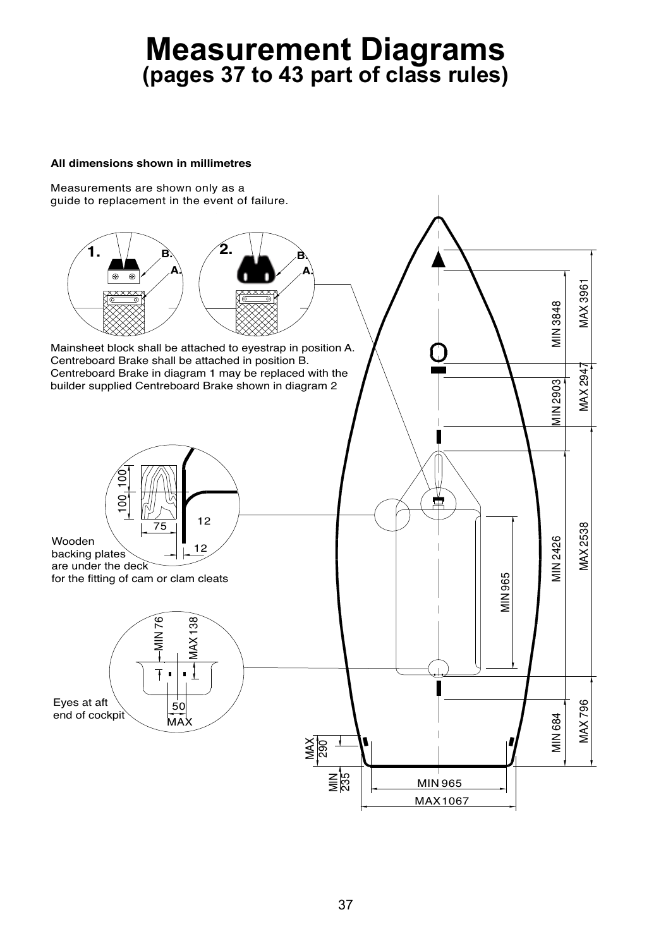# **Measurement Diagrams (pages 37 to 43 part of class rules)**

#### **All dimensions shown in millimetres**

Measurements are shown only as a guide to replacement in the event of failure.

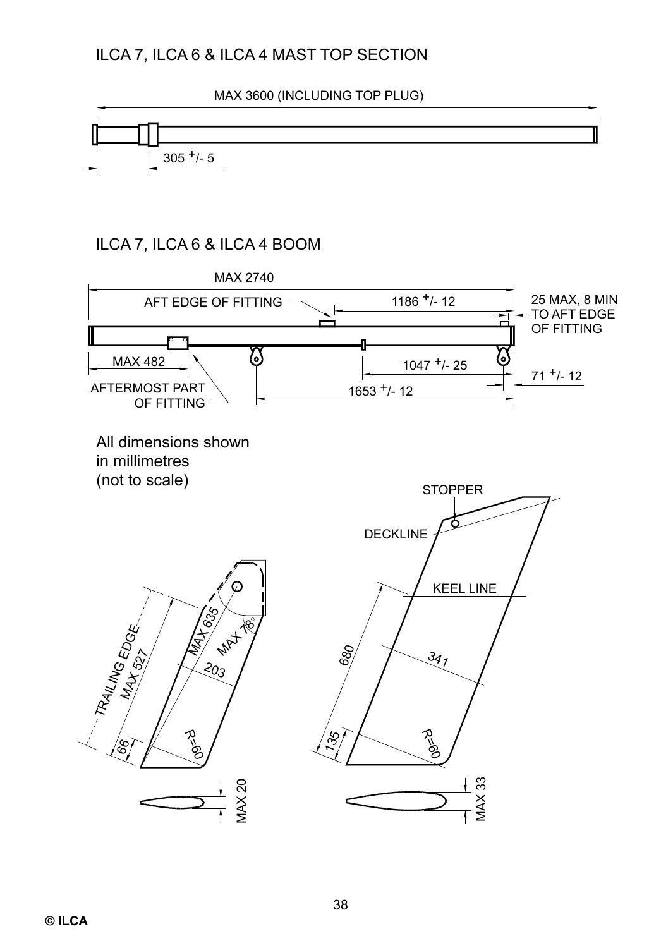## ILCA 7, ILCA 6 & ILCA 4 MAST TOP SECTION

MAX 3600 (INCLUDING TOP PLUG)



## ILCA 7, ILCA 6 & ILCA 4 BOOM

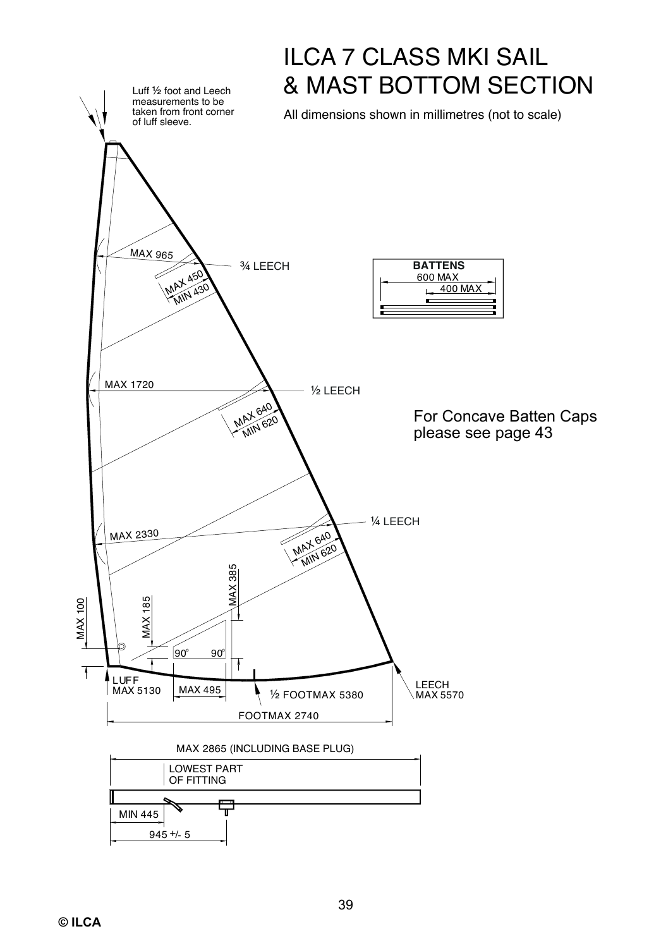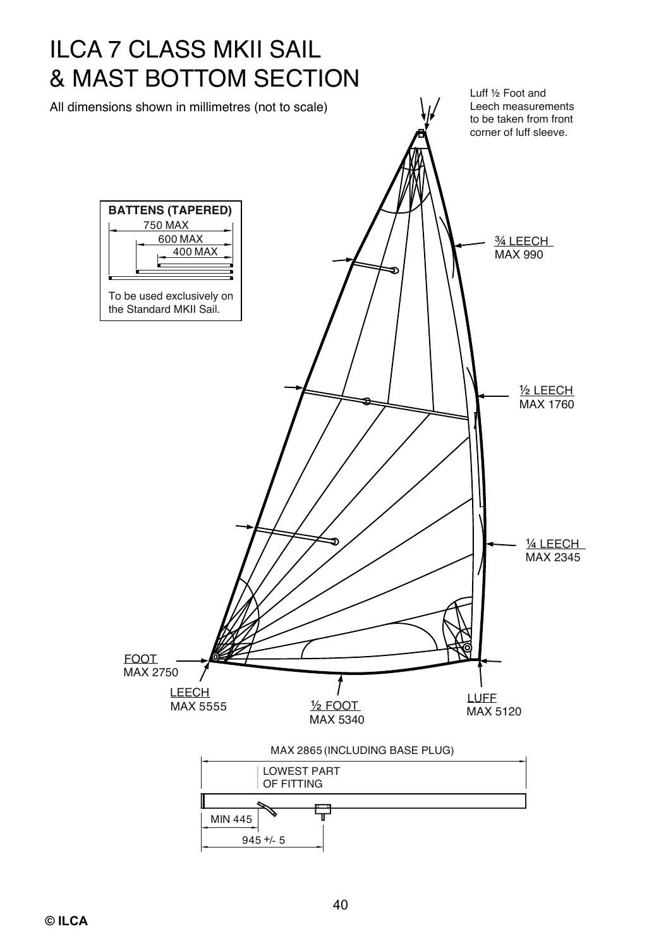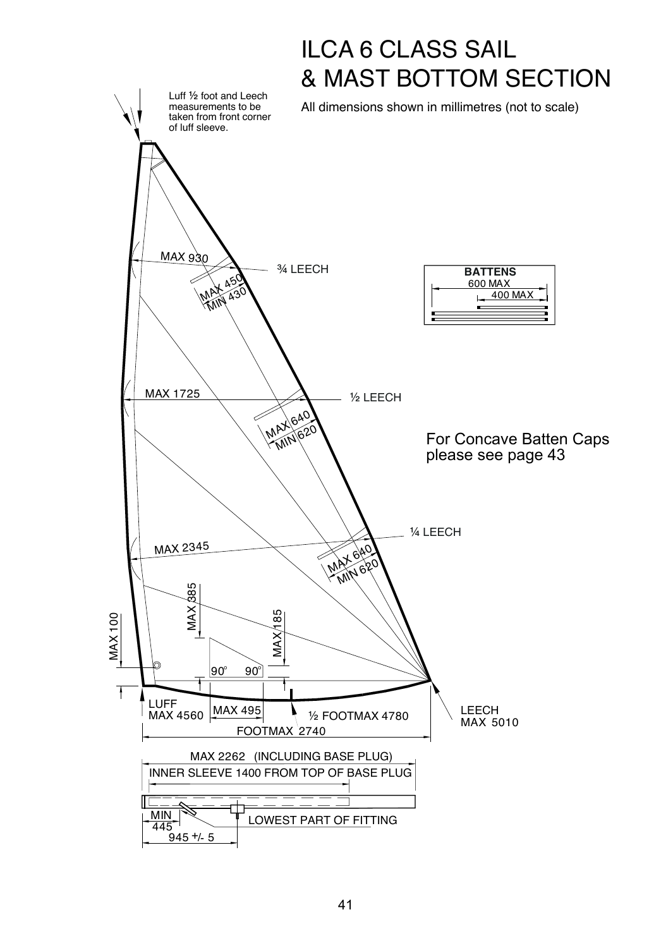![](_page_14_Figure_0.jpeg)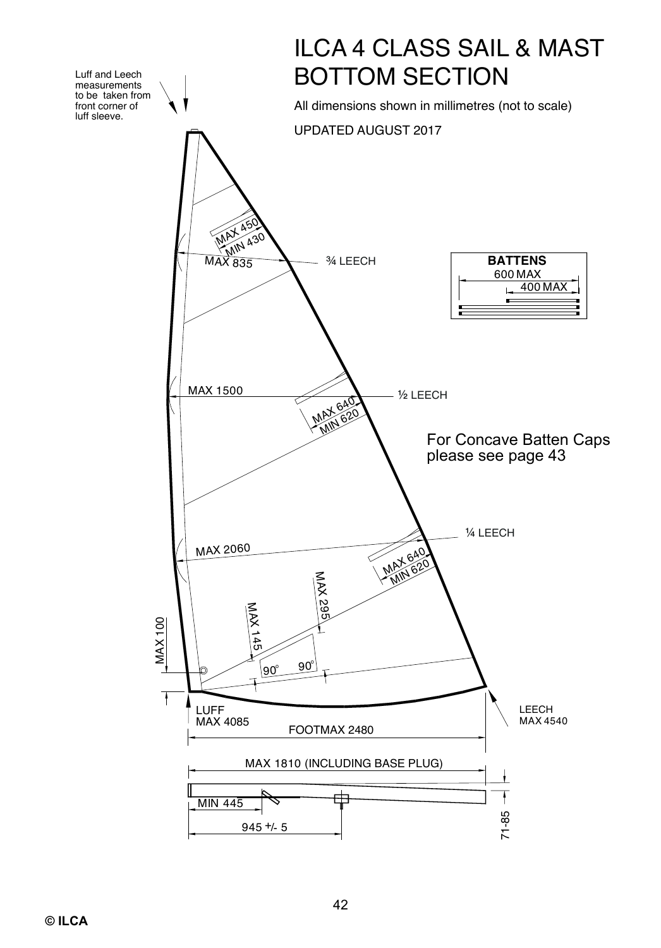![](_page_15_Figure_0.jpeg)